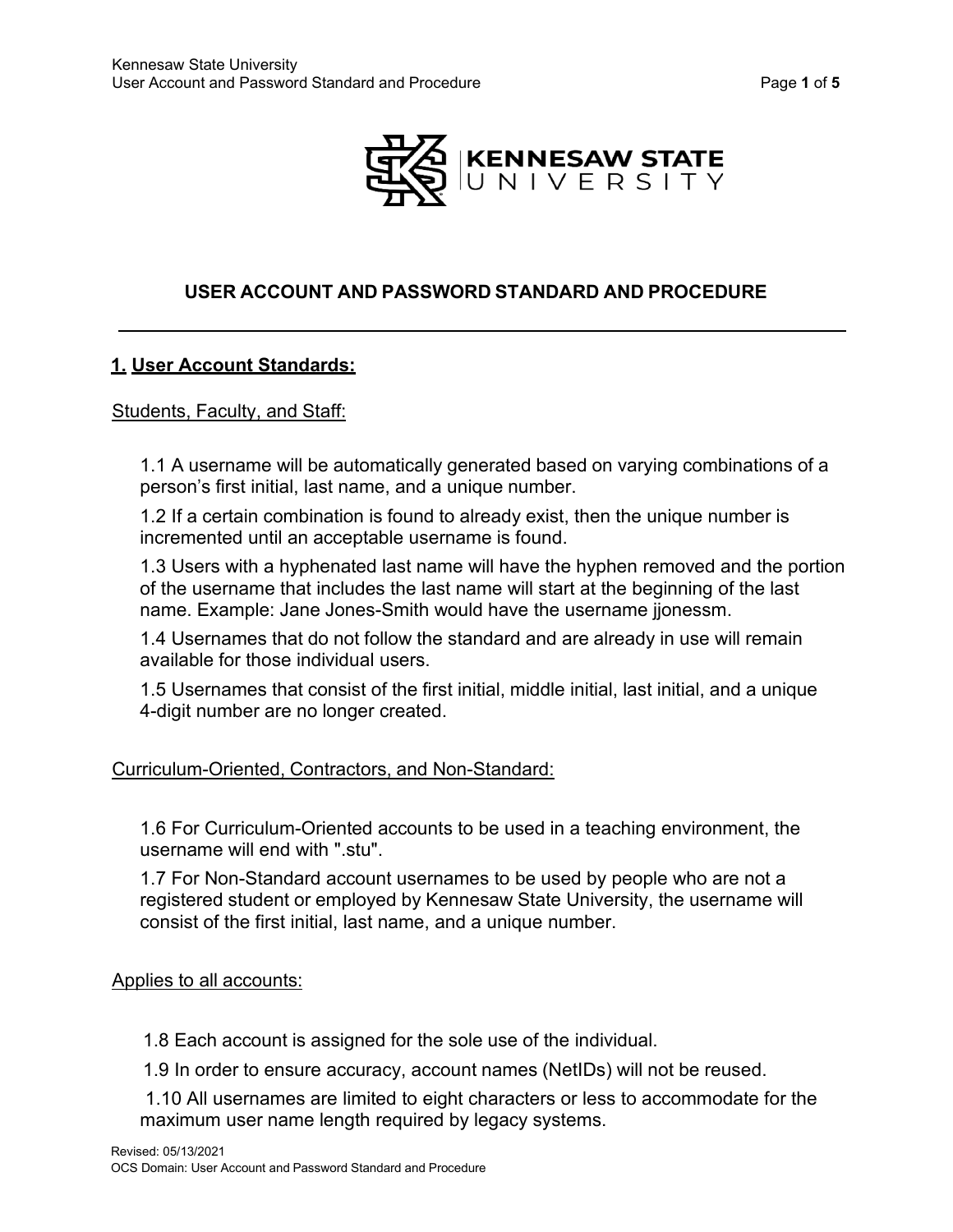

#### **USER ACCOUNT AND PASSWORD STANDARD AND PROCEDURE**

#### **1. User Account Standards:**

#### Students, Faculty, and Staff:

1.1 A username will be automatically generated based on varying combinations of a person's first initial, last name, and a unique number.

1.2 If a certain combination is found to already exist, then the unique number is incremented until an acceptable username is found.

1.3 Users with a hyphenated last name will have the hyphen removed and the portion of the username that includes the last name will start at the beginning of the last name. Example: Jane Jones-Smith would have the username jjonessm.

1.4 Usernames that do not follow the standard and are already in use will remain available for those individual users.

1.5 Usernames that consist of the first initial, middle initial, last initial, and a unique 4-digit number are no longer created.

#### Curriculum-Oriented, Contractors, and Non-Standard:

1.6 For Curriculum-Oriented accounts to be used in a teaching environment, the username will end with ".stu".

1.7 For Non-Standard account usernames to be used by people who are not a registered student or employed by Kennesaw State University, the username will consist of the first initial, last name, and a unique number.

Applies to all accounts:

1.8 Each account is assigned for the sole use of the individual.

1.9 In order to ensure accuracy, account names (NetIDs) will not be reused.

1.10 All usernames are limited to eight characters or less to accommodate for the maximum user name length required by legacy systems.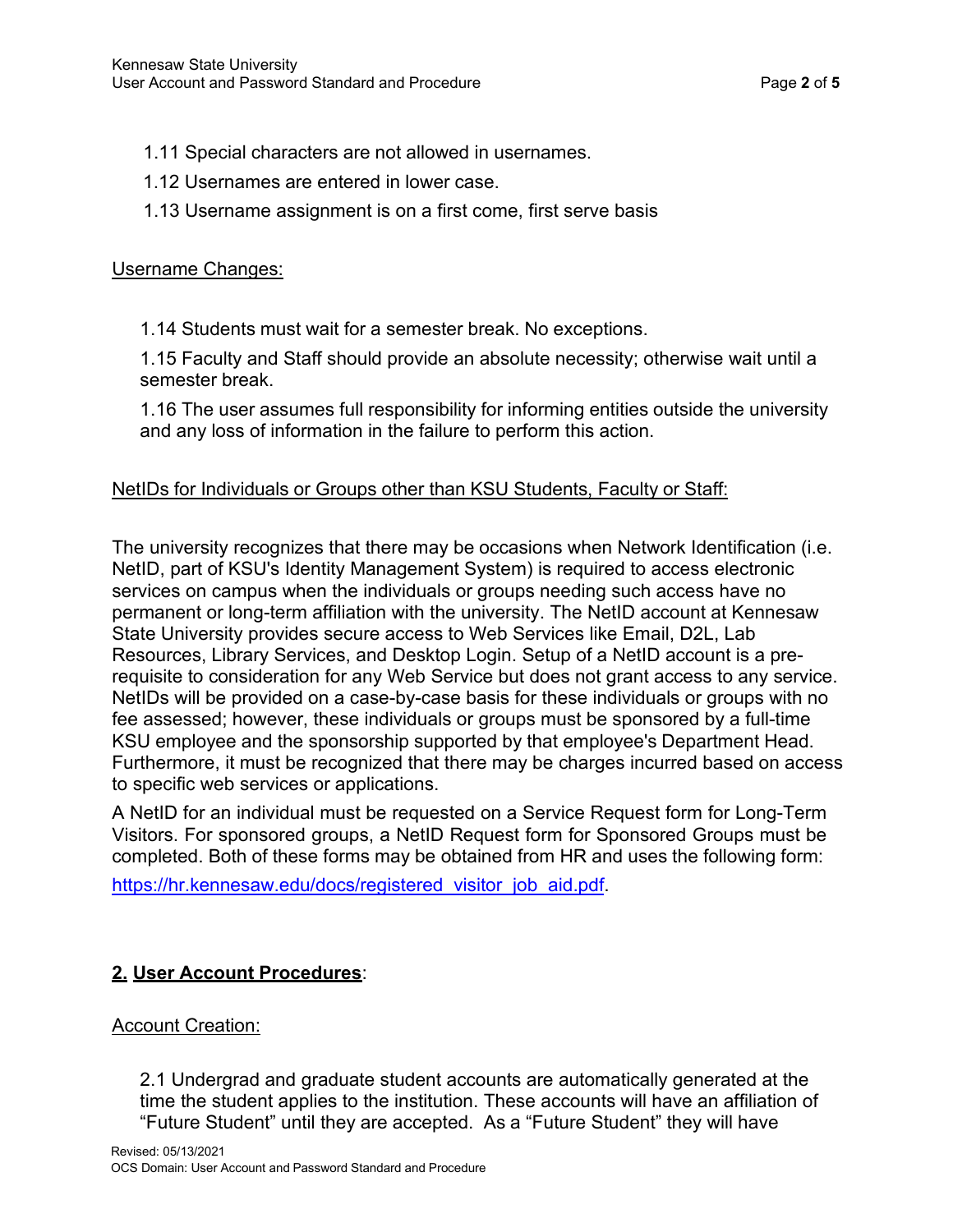- 1.11 Special characters are not allowed in usernames.
- 1.12 Usernames are entered in lower case.
- 1.13 Username assignment is on a first come, first serve basis

## Username Changes:

1.14 Students must wait for a semester break. No exceptions.

1.15 Faculty and Staff should provide an absolute necessity; otherwise wait until a semester break.

1.16 The user assumes full responsibility for informing entities outside the university and any loss of information in the failure to perform this action.

# NetIDs for Individuals or Groups other than KSU Students, Faculty or Staff:

The university recognizes that there may be occasions when Network Identification (i.e. NetID, part of KSU's Identity Management System) is required to access electronic services on campus when the individuals or groups needing such access have no permanent or long-term affiliation with the university. The NetID account at Kennesaw State University provides secure access to Web Services like Email, D2L, Lab Resources, Library Services, and Desktop Login. Setup of a NetID account is a prerequisite to consideration for any Web Service but does not grant access to any service. NetIDs will be provided on a case-by-case basis for these individuals or groups with no fee assessed; however, these individuals or groups must be sponsored by a full-time KSU employee and the sponsorship supported by that employee's Department Head. Furthermore, it must be recognized that there may be charges incurred based on access to specific web services or applications.

A NetID for an individual must be requested on a Service Request form for Long-Term Visitors. For sponsored groups, a NetID Request form for Sponsored Groups must be completed. Both of these forms may be obtained from HR and uses the following form:

[https://hr.kennesaw.edu/docs/registered\\_visitor\\_job\\_aid.pdf.](https://hr.kennesaw.edu/docs/registered_visitor_job_aid.pdf)

# **2. User Account Procedures**:

# Account Creation:

2.1 Undergrad and graduate student accounts are automatically generated at the time the student applies to the institution. These accounts will have an affiliation of "Future Student" until they are accepted. As a "Future Student" they will have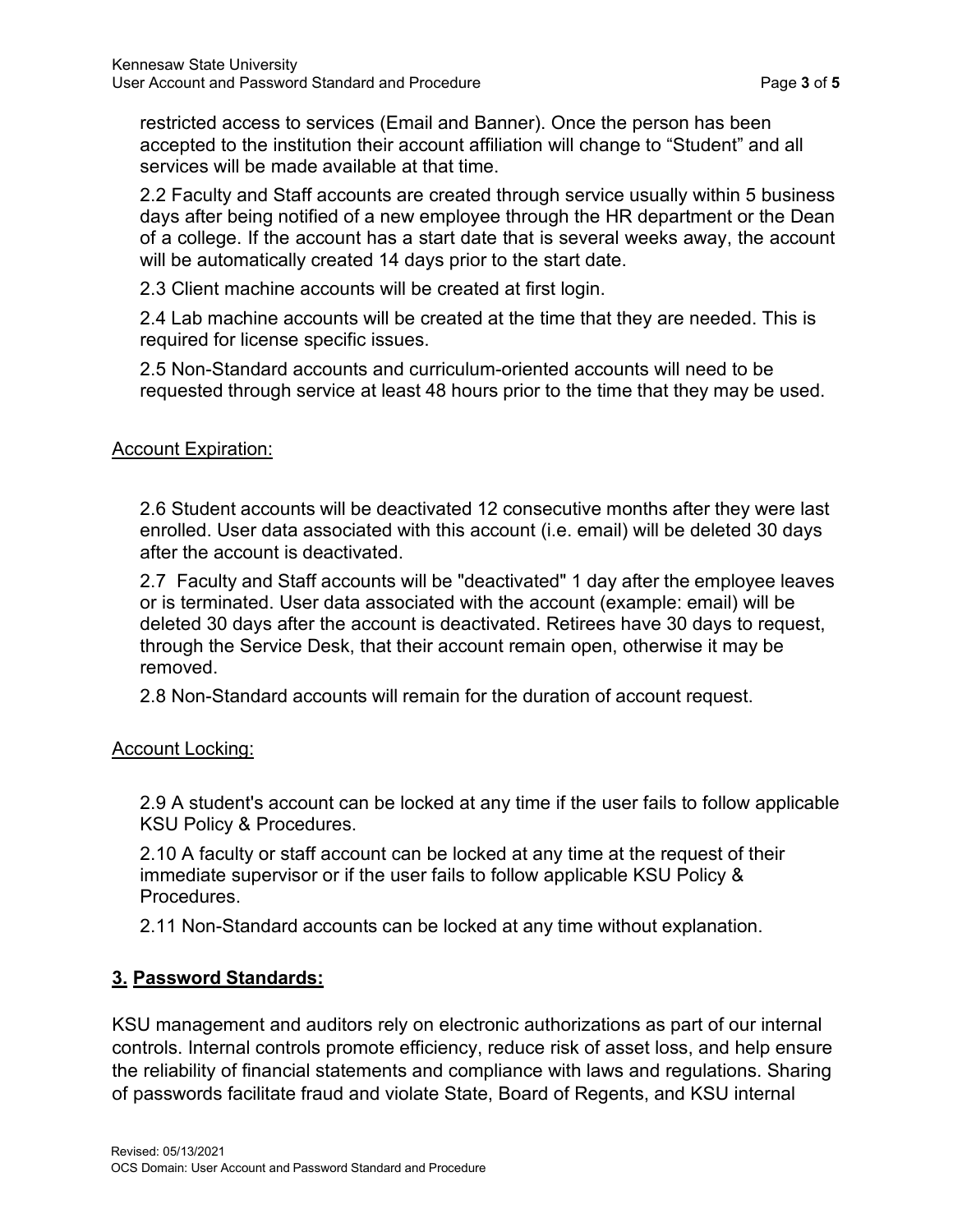restricted access to services (Email and Banner). Once the person has been accepted to the institution their account affiliation will change to "Student" and all services will be made available at that time.

2.2 Faculty and Staff accounts are created through service usually within 5 business days after being notified of a new employee through the HR department or the Dean of a college. If the account has a start date that is several weeks away, the account will be automatically created 14 days prior to the start date.

2.3 Client machine accounts will be created at first login.

2.4 Lab machine accounts will be created at the time that they are needed. This is required for license specific issues.

2.5 Non-Standard accounts and curriculum-oriented accounts will need to be requested through service at least 48 hours prior to the time that they may be used.

### Account Expiration:

2.6 Student accounts will be deactivated 12 consecutive months after they were last enrolled. User data associated with this account (i.e. email) will be deleted 30 days after the account is deactivated.

2.7 Faculty and Staff accounts will be "deactivated" 1 day after the employee leaves or is terminated. User data associated with the account (example: email) will be deleted 30 days after the account is deactivated. Retirees have 30 days to request, through the Service Desk, that their account remain open, otherwise it may be removed.

2.8 Non-Standard accounts will remain for the duration of account request.

### Account Locking:

2.9 A student's account can be locked at any time if the user fails to follow applicable KSU Policy & Procedures.

2.10 A faculty or staff account can be locked at any time at the request of their immediate supervisor or if the user fails to follow applicable KSU Policy & Procedures.

2.11 Non-Standard accounts can be locked at any time without explanation.

# **3. Password Standards:**

KSU management and auditors rely on electronic authorizations as part of our internal controls. Internal controls promote efficiency, reduce risk of asset loss, and help ensure the reliability of financial statements and compliance with laws and regulations. Sharing of passwords facilitate fraud and violate State, Board of Regents, and KSU internal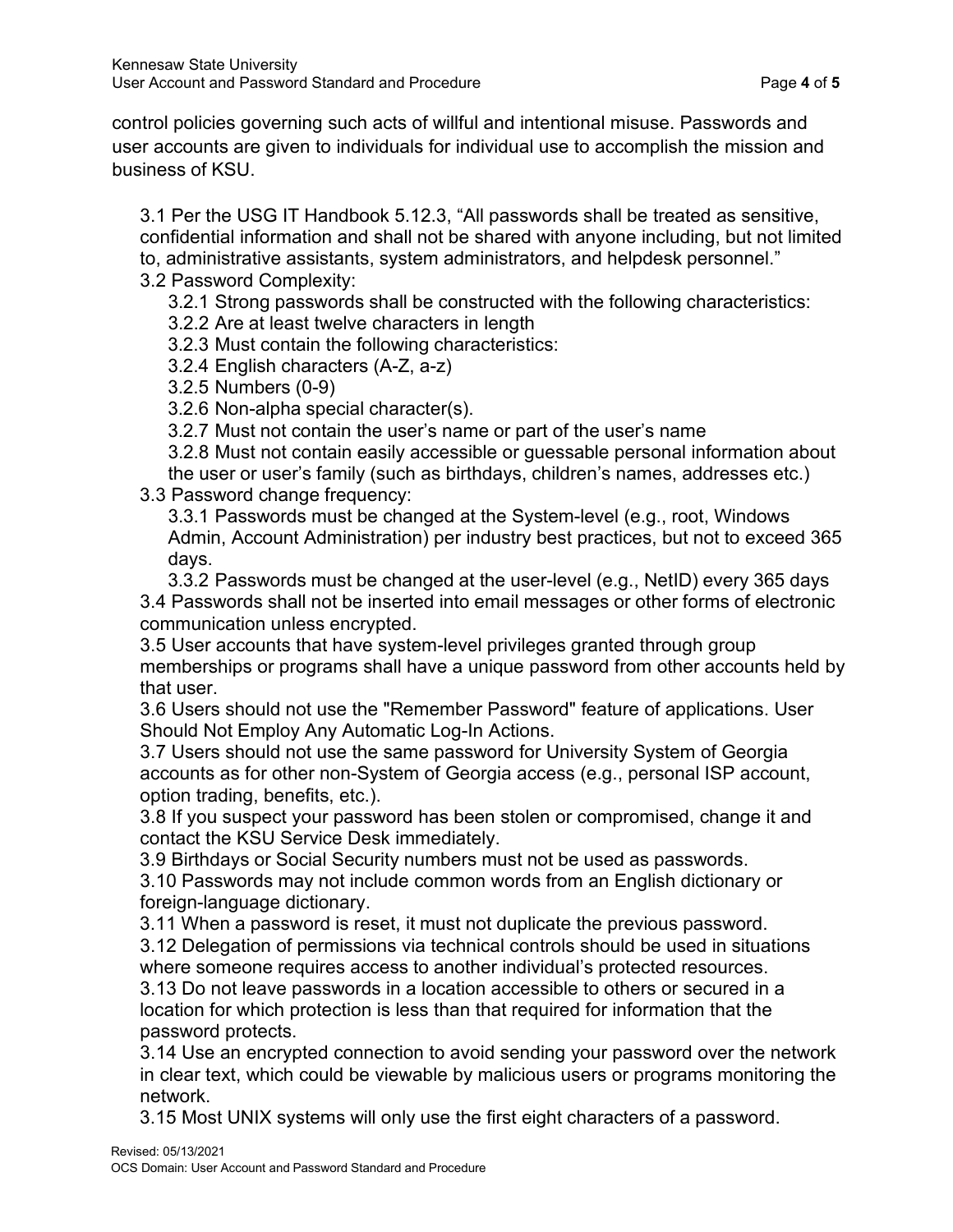control policies governing such acts of willful and intentional misuse. Passwords and user accounts are given to individuals for individual use to accomplish the mission and business of KSU.

3.1 Per the USG IT Handbook 5.12.3, "All passwords shall be treated as sensitive, confidential information and shall not be shared with anyone including, but not limited to, administrative assistants, system administrators, and helpdesk personnel." 3.2 Password Complexity:

3.2.1 Strong passwords shall be constructed with the following characteristics:

3.2.2 Are at least twelve characters in length

3.2.3 Must contain the following characteristics:

3.2.4 English characters (A-Z, a-z)

3.2.5 Numbers (0-9)

3.2.6 Non-alpha special character(s).

3.2.7 Must not contain the user's name or part of the user's name

3.2.8 Must not contain easily accessible or guessable personal information about the user or user's family (such as birthdays, children's names, addresses etc.)

## 3.3 Password change frequency:

3.3.1 Passwords must be changed at the System-level (e.g., root, Windows Admin, Account Administration) per industry best practices, but not to exceed 365 days.

3.3.2 Passwords must be changed at the user-level (e.g., NetID) every 365 days 3.4 Passwords shall not be inserted into email messages or other forms of electronic communication unless encrypted.

3.5 User accounts that have system-level privileges granted through group memberships or programs shall have a unique password from other accounts held by that user.

3.6 Users should not use the "Remember Password" feature of applications. User Should Not Employ Any Automatic Log-In Actions.

3.7 Users should not use the same password for University System of Georgia accounts as for other non-System of Georgia access (e.g., personal ISP account, option trading, benefits, etc.).

3.8 If you suspect your password has been stolen or compromised, change it and contact the KSU Service Desk immediately.

3.9 Birthdays or Social Security numbers must not be used as passwords.

3.10 Passwords may not include common words from an English dictionary or foreign-language dictionary.

3.11 When a password is reset, it must not duplicate the previous password.

3.12 Delegation of permissions via technical controls should be used in situations where someone requires access to another individual's protected resources.

3.13 Do not leave passwords in a location accessible to others or secured in a location for which protection is less than that required for information that the password protects.

3.14 Use an encrypted connection to avoid sending your password over the network in clear text, which could be viewable by malicious users or programs monitoring the network.

3.15 Most UNIX systems will only use the first eight characters of a password.